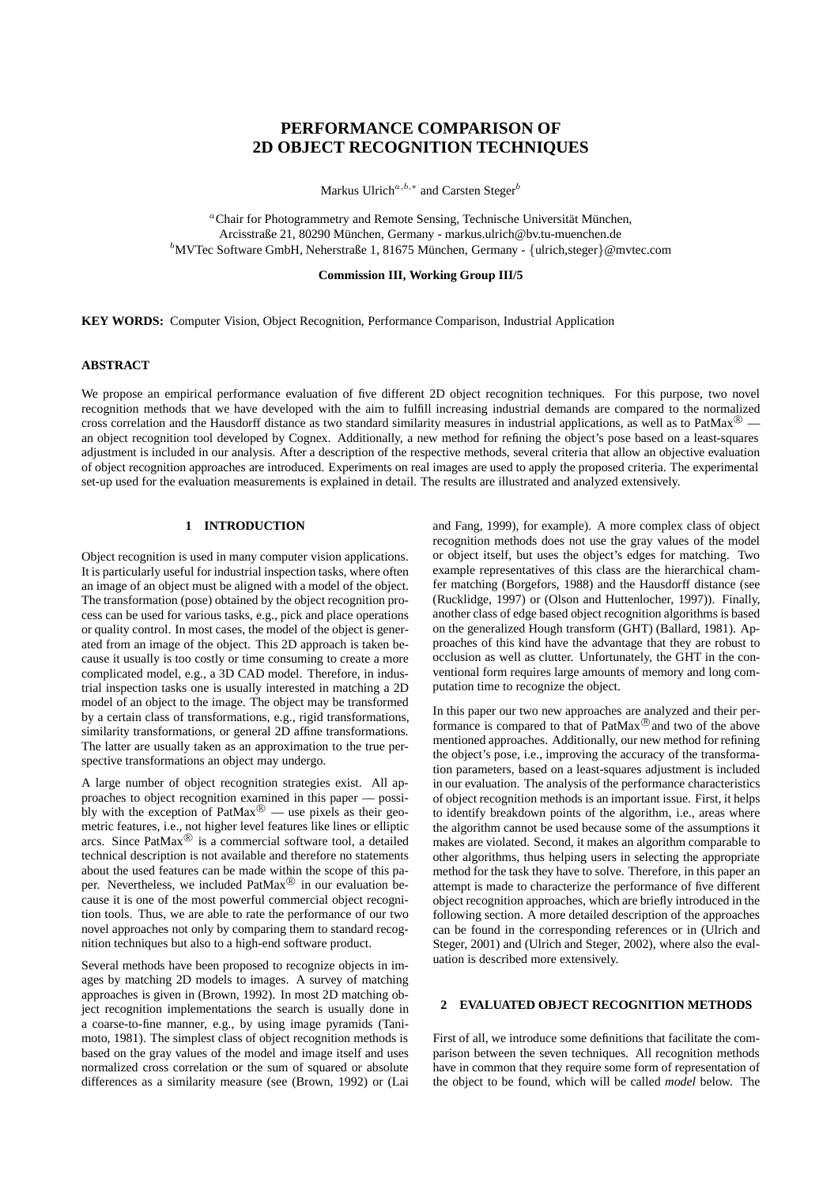# **PERFORMANCE COMPARISON OF 2D OBJECT RECOGNITION TECHNIQUES**

Markus Ulrich<sup>a,b,\*</sup> and Carsten Steger<sup>b</sup>

 ${}^a$ Chair for Photogrammetry and Remote Sensing, Technische Universität München, Arcisstraße 21, 80290 München, Germany - markus.ulrich@bv.tu-muenchen.de  ${}^b$ MVTec Software GmbH, Neherstraße 1, 81675 München, Germany - {ulrich, steger}@mvtec.com

# **Commission III, Working Group III/5**

**KEY WORDS:** Computer Vision, Object Recognition, Performance Comparison, Industrial Application

# **ABSTRACT**

We propose an empirical performance evaluation of five different 2D object recognition techniques. For this purpose, two novel recognition methods that we have developed with the aim to fulfill increasing industrial demands are compared to the normalized cross correlation and the Hausdorff distance as two standard similarity measures in industrial applications, as well as to PatMax<sup>®</sup> an object recognition tool developed by Cognex. Additionally, a new method for refining the object's pose based on a least-squares adjustment is included in our analysis. After a description of the respective methods, several criteria that allow an objective evaluation of object recognition approaches are introduced. Experiments on real images are used to apply the proposed criteria. The experimental set-up used for the evaluation measurements is explained in detail. The results are illustrated and analyzed extensively.

# **1 INTRODUCTION**

Object recognition is used in many computer vision applications. It is particularly useful for industrial inspection tasks, where often an image of an object must be aligned with a model of the object. The transformation (pose) obtained by the object recognition process can be used for various tasks, e.g., pick and place operations or quality control. In most cases, the model of the object is generated from an image of the object. This 2D approach is taken because it usually is too costly or time consuming to create a more complicated model, e.g., a 3D CAD model. Therefore, in industrial inspection tasks one is usually interested in matching a 2D model of an object to the image. The object may be transformed by a certain class of transformations, e.g., rigid transformations, similarity transformations, or general 2D affine transformations. The latter are usually taken as an approximation to the true perspective transformations an object may undergo.

A large number of object recognition strategies exist. All approaches to object recognition examined in this paper — possibly with the exception of PatMax $\overset{\circ}{\otimes}$  — use pixels as their geometric features, i.e., not higher level features like lines or elliptic arcs. Since  $PathMax^{\circledR}$  is a commercial software tool, a detailed technical description is not available and therefore no statements about the used features can be made within the scope of this paper. Nevertheless, we included PatMax<sup>®</sup> in our evaluation because it is one of the most powerful commercial object recognition tools. Thus, we are able to rate the performance of our two novel approaches not only by comparing them to standard recognition techniques but also to a high-end software product.

Several methods have been proposed to recognize objects in images by matching 2D models to images. A survey of matching approaches is given in (Brown, 1992). In most 2D matching object recognition implementations the search is usually done in a coarse-to-fine manner, e.g., by using image pyramids (Tanimoto, 1981). The simplest class of object recognition methods is based on the gray values of the model and image itself and uses normalized cross correlation or the sum of squared or absolute differences as a similarity measure (see (Brown, 1992) or (Lai

and Fang, 1999), for example). A more complex class of object recognition methods does not use the gray values of the model or object itself, but uses the object's edges for matching. Two example representatives of this class are the hierarchical chamfer matching (Borgefors, 1988) and the Hausdorff distance (see (Rucklidge, 1997) or (Olson and Huttenlocher, 1997)). Finally, another class of edge based object recognition algorithms is based on the generalized Hough transform (GHT) (Ballard, 1981). Approaches of this kind have the advantage that they are robust to occlusion as well as clutter. Unfortunately, the GHT in the conventional form requires large amounts of memory and long computation time to recognize the object.

In this paper our two new approaches are analyzed and their performance is compared to that of PatMax<sup>®</sup> and two of the above mentioned approaches. Additionally, our new method for refining the object's pose, i.e., improving the accuracy of the transformation parameters, based on a least-squares adjustment is included in our evaluation. The analysis of the performance characteristics of object recognition methods is an important issue. First, it helps to identify breakdown points of the algorithm, i.e., areas where the algorithm cannot be used because some of the assumptions it makes are violated. Second, it makes an algorithm comparable to other algorithms, thus helping users in selecting the appropriate method for the task they have to solve. Therefore, in this paper an attempt is made to characterize the performance of five different object recognition approaches, which are briefly introduced in the following section. A more detailed description of the approaches can be found in the corresponding references or in (Ulrich and Steger, 2001) and (Ulrich and Steger, 2002), where also the evaluation is described more extensively.

#### **2 EVALUATED OBJECT RECOGNITION METHODS**

First of all, we introduce some definitions that facilitate the comparison between the seven techniques. All recognition methods have in common that they require some form of representation of the object to be found, which will be called *model* below. The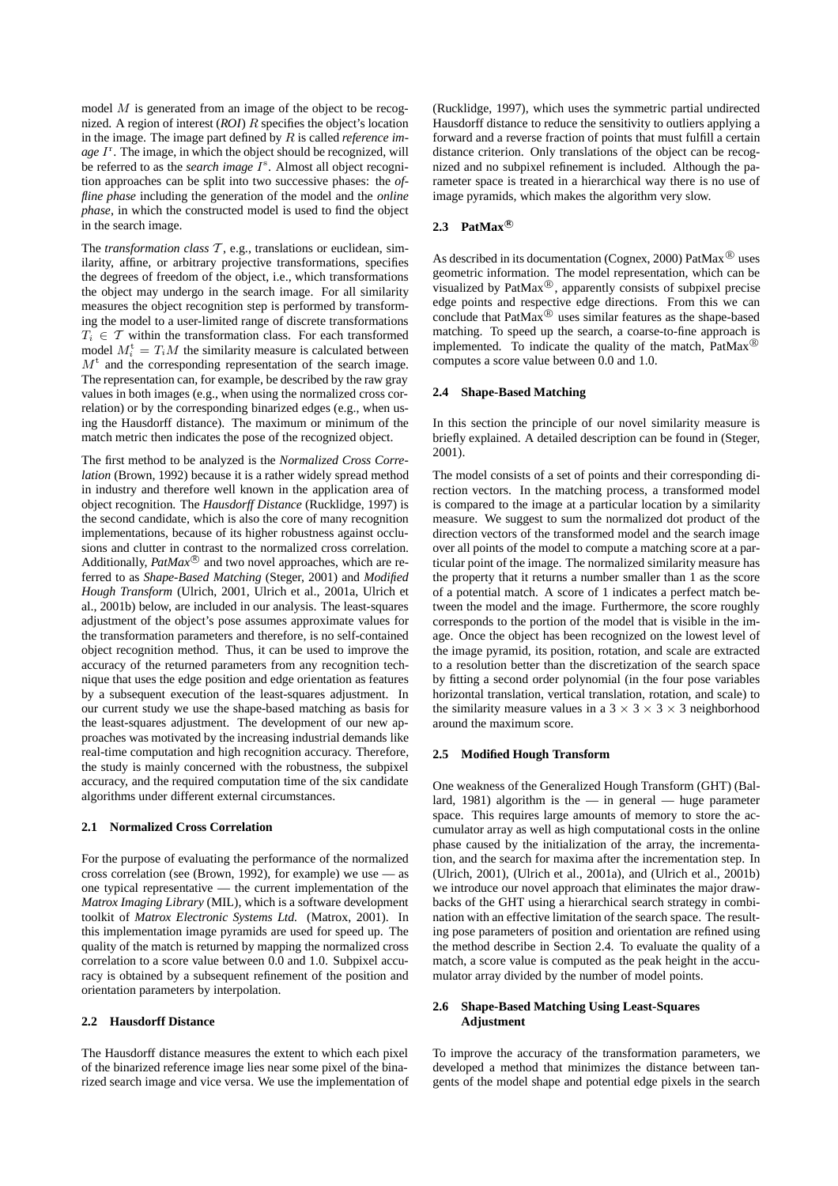model  $M$  is generated from an image of the object to be recognized. A region of interest (*ROI*) R specifies the object's location in the image. The image part defined by R is called *reference im*age I<sup>r</sup>. The image, in which the object should be recognized, will be referred to as the *search image*  $I^s$ . Almost all object recognition approaches can be split into two successive phases: the *offline phase* including the generation of the model and the *online phase*, in which the constructed model is used to find the object in the search image.

The *transformation class*  $T$ , e.g., translations or euclidean, similarity, affine, or arbitrary projective transformations, specifies the degrees of freedom of the object, i.e., which transformations the object may undergo in the search image. For all similarity measures the object recognition step is performed by transforming the model to a user-limited range of discrete transformations  $T_i \in \mathcal{T}$  within the transformation class. For each transformed model  $M_i^{\text{t}} = T_i M$  the similarity measure is calculated between  $M<sup>t</sup>$  and the corresponding representation of the search image. The representation can, for example, be described by the raw gray values in both images (e.g., when using the normalized cross correlation) or by the corresponding binarized edges (e.g., when using the Hausdorff distance). The maximum or minimum of the match metric then indicates the pose of the recognized object.

The first method to be analyzed is the *Normalized Cross Correlation* (Brown, 1992) because it is a rather widely spread method in industry and therefore well known in the application area of object recognition. The *Hausdorff Distance* (Rucklidge, 1997) is the second candidate, which is also the core of many recognition implementations, because of its higher robustness against occlusions and clutter in contrast to the normalized cross correlation. Additionally,  $PatMax^{\circledR}$  and two novel approaches, which are referred to as *Shape-Based Matching* (Steger, 2001) and *Modified Hough Transform* (Ulrich, 2001, Ulrich et al., 2001a, Ulrich et al., 2001b) below, are included in our analysis. The least-squares adjustment of the object's pose assumes approximate values for the transformation parameters and therefore, is no self-contained object recognition method. Thus, it can be used to improve the accuracy of the returned parameters from any recognition technique that uses the edge position and edge orientation as features by a subsequent execution of the least-squares adjustment. In our current study we use the shape-based matching as basis for the least-squares adjustment. The development of our new approaches was motivated by the increasing industrial demands like real-time computation and high recognition accuracy. Therefore, the study is mainly concerned with the robustness, the subpixel accuracy, and the required computation time of the six candidate algorithms under different external circumstances.

# **2.1 Normalized Cross Correlation**

For the purpose of evaluating the performance of the normalized cross correlation (see (Brown, 1992), for example) we use — as one typical representative — the current implementation of the *Matrox Imaging Library* (MIL), which is a software development toolkit of *Matrox Electronic Systems Ltd.* (Matrox, 2001). In this implementation image pyramids are used for speed up. The quality of the match is returned by mapping the normalized cross correlation to a score value between 0.0 and 1.0. Subpixel accuracy is obtained by a subsequent refinement of the position and orientation parameters by interpolation.

# **2.2 Hausdorff Distance**

The Hausdorff distance measures the extent to which each pixel of the binarized reference image lies near some pixel of the binarized search image and vice versa. We use the implementation of (Rucklidge, 1997), which uses the symmetric partial undirected Hausdorff distance to reduce the sensitivity to outliers applying a forward and a reverse fraction of points that must fulfill a certain distance criterion. Only translations of the object can be recognized and no subpixel refinement is included. Although the parameter space is treated in a hierarchical way there is no use of image pyramids, which makes the algorithm very slow.

# 2.3 PatMax<sup>®</sup>

As described in its documentation (Cognex, 2000) PatMax $^{\circledR}$  uses geometric information. The model representation, which can be visualized by  $\text{PatMax}^{\textcircled{R}}$ , apparently consists of subpixel precise edge points and respective edge directions. From this we can conclude that PatMax<sup>®</sup> uses similar features as the shape-based matching. To speed up the search, a coarse-to-fine approach is implemented. To indicate the quality of the match, PatMax® computes a score value between 0.0 and 1.0.

# **2.4 Shape-Based Matching**

In this section the principle of our novel similarity measure is briefly explained. A detailed description can be found in (Steger, 2001).

The model consists of a set of points and their corresponding direction vectors. In the matching process, a transformed model is compared to the image at a particular location by a similarity measure. We suggest to sum the normalized dot product of the direction vectors of the transformed model and the search image over all points of the model to compute a matching score at a particular point of the image. The normalized similarity measure has the property that it returns a number smaller than 1 as the score of a potential match. A score of 1 indicates a perfect match between the model and the image. Furthermore, the score roughly corresponds to the portion of the model that is visible in the image. Once the object has been recognized on the lowest level of the image pyramid, its position, rotation, and scale are extracted to a resolution better than the discretization of the search space by fitting a second order polynomial (in the four pose variables horizontal translation, vertical translation, rotation, and scale) to the similarity measure values in a  $3 \times 3 \times 3 \times 3$  neighborhood around the maximum score.

#### **2.5 Modified Hough Transform**

One weakness of the Generalized Hough Transform (GHT) (Ballard, 1981) algorithm is the  $-$  in general  $-$  huge parameter space. This requires large amounts of memory to store the accumulator array as well as high computational costs in the online phase caused by the initialization of the array, the incrementation, and the search for maxima after the incrementation step. In (Ulrich, 2001), (Ulrich et al., 2001a), and (Ulrich et al., 2001b) we introduce our novel approach that eliminates the major drawbacks of the GHT using a hierarchical search strategy in combination with an effective limitation of the search space. The resulting pose parameters of position and orientation are refined using the method describe in Section 2.4. To evaluate the quality of a match, a score value is computed as the peak height in the accumulator array divided by the number of model points.

# **2.6 Shape-Based Matching Using Least-Squares Adjustment**

To improve the accuracy of the transformation parameters, we developed a method that minimizes the distance between tangents of the model shape and potential edge pixels in the search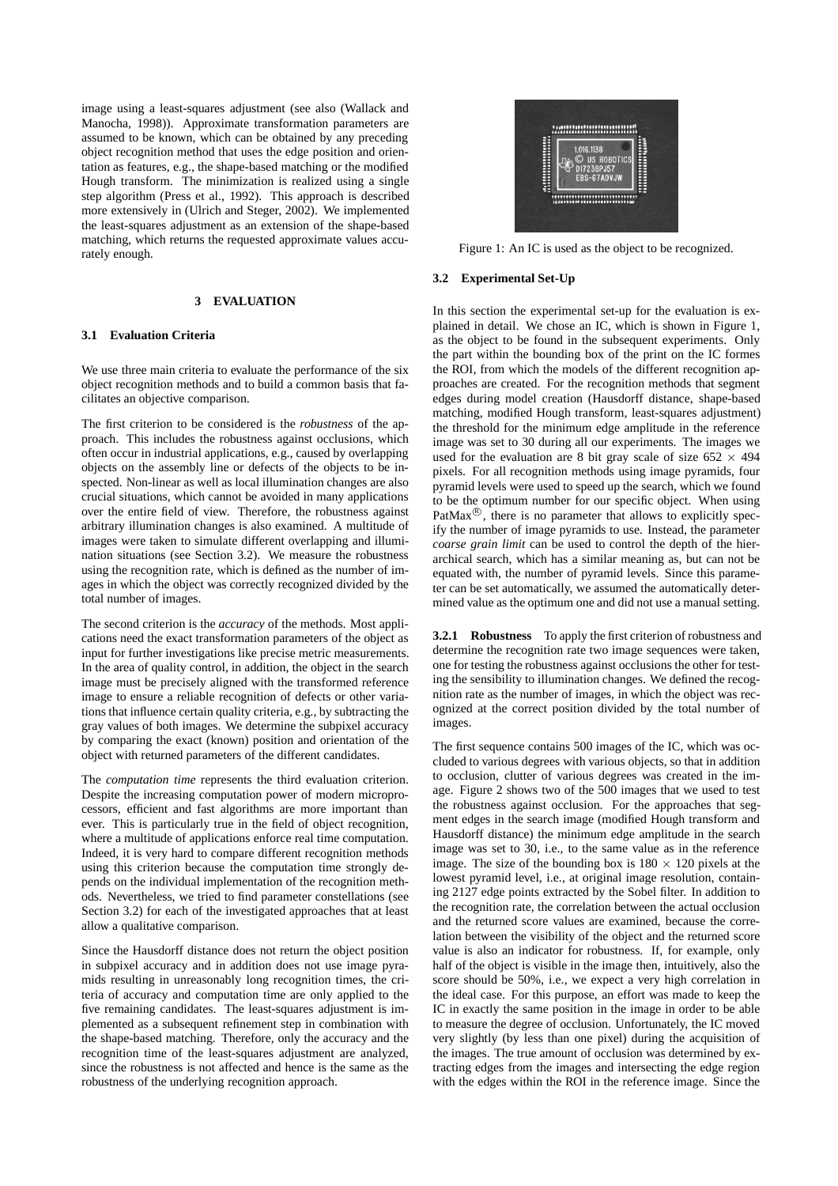image using a least-squares adjustment (see also (Wallack and Manocha, 1998)). Approximate transformation parameters are assumed to be known, which can be obtained by any preceding object recognition method that uses the edge position and orientation as features, e.g., the shape-based matching or the modified Hough transform. The minimization is realized using a single step algorithm (Press et al., 1992). This approach is described more extensively in (Ulrich and Steger, 2002). We implemented the least-squares adjustment as an extension of the shape-based matching, which returns the requested approximate values accurately enough.

# **3 EVALUATION**

# **3.1 Evaluation Criteria**

We use three main criteria to evaluate the performance of the six object recognition methods and to build a common basis that facilitates an objective comparison.

The first criterion to be considered is the *robustness* of the approach. This includes the robustness against occlusions, which often occur in industrial applications, e.g., caused by overlapping objects on the assembly line or defects of the objects to be inspected. Non-linear as well as local illumination changes are also crucial situations, which cannot be avoided in many applications over the entire field of view. Therefore, the robustness against arbitrary illumination changes is also examined. A multitude of images were taken to simulate different overlapping and illumination situations (see Section 3.2). We measure the robustness using the recognition rate, which is defined as the number of images in which the object was correctly recognized divided by the total number of images.

The second criterion is the *accuracy* of the methods. Most applications need the exact transformation parameters of the object as input for further investigations like precise metric measurements. In the area of quality control, in addition, the object in the search image must be precisely aligned with the transformed reference image to ensure a reliable recognition of defects or other variations that influence certain quality criteria, e.g., by subtracting the gray values of both images. We determine the subpixel accuracy by comparing the exact (known) position and orientation of the object with returned parameters of the different candidates.

The *computation time* represents the third evaluation criterion. Despite the increasing computation power of modern microprocessors, efficient and fast algorithms are more important than ever. This is particularly true in the field of object recognition, where a multitude of applications enforce real time computation. Indeed, it is very hard to compare different recognition methods using this criterion because the computation time strongly depends on the individual implementation of the recognition methods. Nevertheless, we tried to find parameter constellations (see Section 3.2) for each of the investigated approaches that at least allow a qualitative comparison.

Since the Hausdorff distance does not return the object position in subpixel accuracy and in addition does not use image pyramids resulting in unreasonably long recognition times, the criteria of accuracy and computation time are only applied to the five remaining candidates. The least-squares adjustment is implemented as a subsequent refinement step in combination with the shape-based matching. Therefore, only the accuracy and the recognition time of the least-squares adjustment are analyzed, since the robustness is not affected and hence is the same as the robustness of the underlying recognition approach.



Figure 1: An IC is used as the object to be recognized.

#### **3.2 Experimental Set-Up**

In this section the experimental set-up for the evaluation is explained in detail. We chose an IC, which is shown in Figure 1, as the object to be found in the subsequent experiments. Only the part within the bounding box of the print on the IC formes the ROI, from which the models of the different recognition approaches are created. For the recognition methods that segment edges during model creation (Hausdorff distance, shape-based matching, modified Hough transform, least-squares adjustment) the threshold for the minimum edge amplitude in the reference image was set to 30 during all our experiments. The images we used for the evaluation are 8 bit gray scale of size  $652 \times 494$ pixels. For all recognition methods using image pyramids, four pyramid levels were used to speed up the search, which we found to be the optimum number for our specific object. When using PatMax $\mathscr{B}$ , there is no parameter that allows to explicitly specify the number of image pyramids to use. Instead, the parameter *coarse grain limit* can be used to control the depth of the hierarchical search, which has a similar meaning as, but can not be equated with, the number of pyramid levels. Since this parameter can be set automatically, we assumed the automatically determined value as the optimum one and did not use a manual setting.

**3.2.1 Robustness** To apply the first criterion of robustness and determine the recognition rate two image sequences were taken, one for testing the robustness against occlusions the other for testing the sensibility to illumination changes. We defined the recognition rate as the number of images, in which the object was recognized at the correct position divided by the total number of images.

The first sequence contains 500 images of the IC, which was occluded to various degrees with various objects, so that in addition to occlusion, clutter of various degrees was created in the image. Figure 2 shows two of the 500 images that we used to test the robustness against occlusion. For the approaches that segment edges in the search image (modified Hough transform and Hausdorff distance) the minimum edge amplitude in the search image was set to 30, i.e., to the same value as in the reference image. The size of the bounding box is  $180 \times 120$  pixels at the lowest pyramid level, i.e., at original image resolution, containing 2127 edge points extracted by the Sobel filter. In addition to the recognition rate, the correlation between the actual occlusion and the returned score values are examined, because the correlation between the visibility of the object and the returned score value is also an indicator for robustness. If, for example, only half of the object is visible in the image then, intuitively, also the score should be 50%, i.e., we expect a very high correlation in the ideal case. For this purpose, an effort was made to keep the IC in exactly the same position in the image in order to be able to measure the degree of occlusion. Unfortunately, the IC moved very slightly (by less than one pixel) during the acquisition of the images. The true amount of occlusion was determined by extracting edges from the images and intersecting the edge region with the edges within the ROI in the reference image. Since the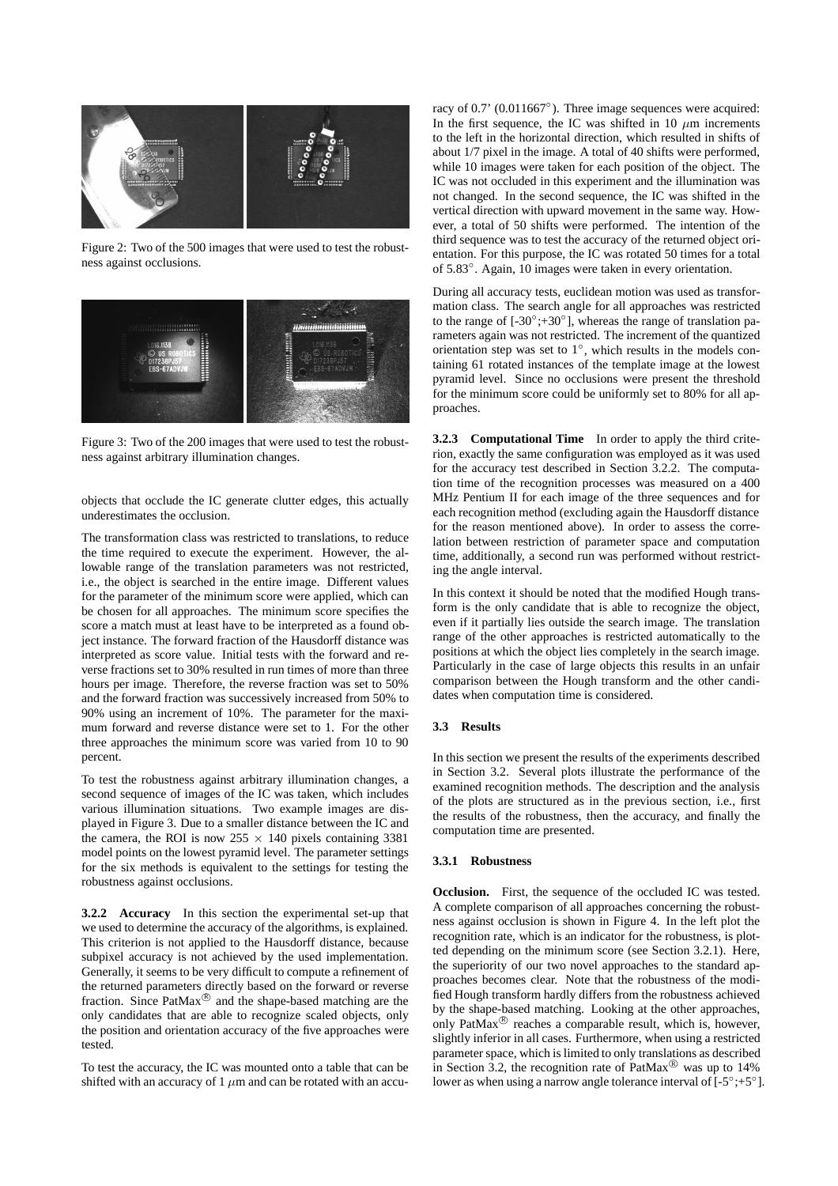

Figure 2: Two of the 500 images that were used to test the robustness against occlusions.



Figure 3: Two of the 200 images that were used to test the robustness against arbitrary illumination changes.

objects that occlude the IC generate clutter edges, this actually underestimates the occlusion.

The transformation class was restricted to translations, to reduce the time required to execute the experiment. However, the allowable range of the translation parameters was not restricted, i.e., the object is searched in the entire image. Different values for the parameter of the minimum score were applied, which can be chosen for all approaches. The minimum score specifies the score a match must at least have to be interpreted as a found object instance. The forward fraction of the Hausdorff distance was interpreted as score value. Initial tests with the forward and reverse fractions set to 30% resulted in run times of more than three hours per image. Therefore, the reverse fraction was set to 50% and the forward fraction was successively increased from 50% to 90% using an increment of 10%. The parameter for the maximum forward and reverse distance were set to 1. For the other three approaches the minimum score was varied from 10 to 90 percent.

To test the robustness against arbitrary illumination changes, a second sequence of images of the IC was taken, which includes various illumination situations. Two example images are displayed in Figure 3. Due to a smaller distance between the IC and the camera, the ROI is now  $255 \times 140$  pixels containing 3381 model points on the lowest pyramid level. The parameter settings for the six methods is equivalent to the settings for testing the robustness against occlusions.

**3.2.2 Accuracy** In this section the experimental set-up that we used to determine the accuracy of the algorithms, is explained. This criterion is not applied to the Hausdorff distance, because subpixel accuracy is not achieved by the used implementation. Generally, it seems to be very difficult to compute a refinement of the returned parameters directly based on the forward or reverse fraction. Since PatMax<sup>®</sup> and the shape-based matching are the only candidates that are able to recognize scaled objects, only the position and orientation accuracy of the five approaches were tested.

To test the accuracy, the IC was mounted onto a table that can be shifted with an accuracy of 1  $\mu$ m and can be rotated with an accu-

racy of 0.7' (0.011667◦). Three image sequences were acquired: In the first sequence, the IC was shifted in 10  $\mu$ m increments to the left in the horizontal direction, which resulted in shifts of about 1/7 pixel in the image. A total of 40 shifts were performed, while 10 images were taken for each position of the object. The IC was not occluded in this experiment and the illumination was not changed. In the second sequence, the IC was shifted in the vertical direction with upward movement in the same way. However, a total of 50 shifts were performed. The intention of the third sequence was to test the accuracy of the returned object orientation. For this purpose, the IC was rotated 50 times for a total of 5.83◦. Again, 10 images were taken in every orientation.

During all accuracy tests, euclidean motion was used as transformation class. The search angle for all approaches was restricted to the range of  $[-30^\circ, +30^\circ]$ , whereas the range of translation parameters again was not restricted. The increment of the quantized orientation step was set to 1◦, which results in the models containing 61 rotated instances of the template image at the lowest pyramid level. Since no occlusions were present the threshold for the minimum score could be uniformly set to 80% for all approaches.

**3.2.3 Computational Time** In order to apply the third criterion, exactly the same configuration was employed as it was used for the accuracy test described in Section 3.2.2. The computation time of the recognition processes was measured on a 400 MHz Pentium II for each image of the three sequences and for each recognition method (excluding again the Hausdorff distance for the reason mentioned above). In order to assess the correlation between restriction of parameter space and computation time, additionally, a second run was performed without restricting the angle interval.

In this context it should be noted that the modified Hough transform is the only candidate that is able to recognize the object, even if it partially lies outside the search image. The translation range of the other approaches is restricted automatically to the positions at which the object lies completely in the search image. Particularly in the case of large objects this results in an unfair comparison between the Hough transform and the other candidates when computation time is considered.

# **3.3 Results**

In this section we present the results of the experiments described in Section 3.2. Several plots illustrate the performance of the examined recognition methods. The description and the analysis of the plots are structured as in the previous section, i.e., first the results of the robustness, then the accuracy, and finally the computation time are presented.

#### **3.3.1 Robustness**

**Occlusion.** First, the sequence of the occluded IC was tested. A complete comparison of all approaches concerning the robustness against occlusion is shown in Figure 4. In the left plot the recognition rate, which is an indicator for the robustness, is plotted depending on the minimum score (see Section 3.2.1). Here, the superiority of our two novel approaches to the standard approaches becomes clear. Note that the robustness of the modified Hough transform hardly differs from the robustness achieved by the shape-based matching. Looking at the other approaches, only PatMax<sup>®</sup> reaches a comparable result, which is, however, slightly inferior in all cases. Furthermore, when using a restricted parameter space, which is limited to only translations as described in Section 3.2, the recognition rate of PatMax $^{\circledR}$  was up to 14% lower as when using a narrow angle tolerance interval of [-5◦;+5◦].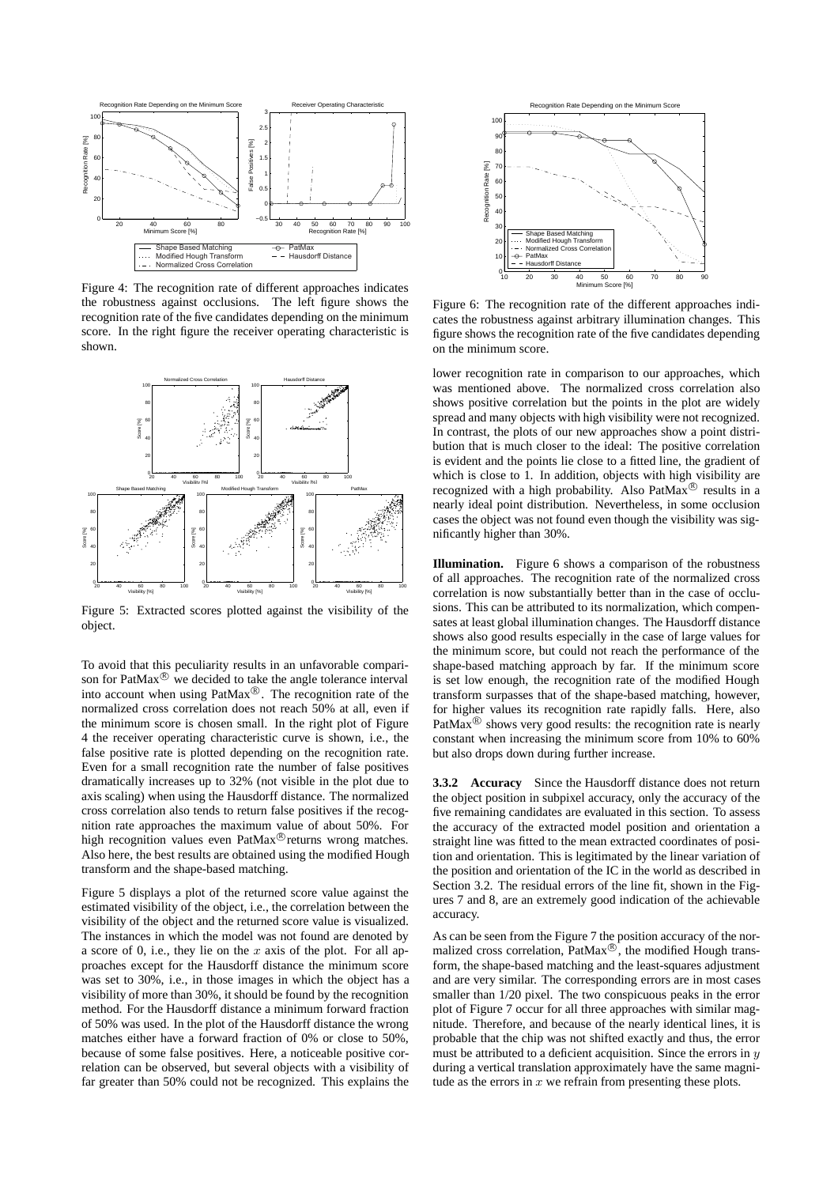

Figure 4: The recognition rate of different approaches indicates the robustness against occlusions. The left figure shows the recognition rate of the five candidates depending on the minimum score. In the right figure the receiver operating characteristic is shown.



Figure 5: Extracted scores plotted against the visibility of the object.

To avoid that this peculiarity results in an unfavorable comparison for  $\text{PatMax}$ <sup>®</sup> we decided to take the angle tolerance interval into account when using  $\text{PatMax}^{\circledR}$ . The recognition rate of the normalized cross correlation does not reach 50% at all, even if the minimum score is chosen small. In the right plot of Figure 4 the receiver operating characteristic curve is shown, i.e., the false positive rate is plotted depending on the recognition rate. Even for a small recognition rate the number of false positives dramatically increases up to 32% (not visible in the plot due to axis scaling) when using the Hausdorff distance. The normalized cross correlation also tends to return false positives if the recognition rate approaches the maximum value of about 50%. For high recognition values even PatMax<sup>®</sup> returns wrong matches. Also here, the best results are obtained using the modified Hough transform and the shape-based matching.

Figure 5 displays a plot of the returned score value against the estimated visibility of the object, i.e., the correlation between the visibility of the object and the returned score value is visualized. The instances in which the model was not found are denoted by a score of 0, i.e., they lie on the  $x$  axis of the plot. For all approaches except for the Hausdorff distance the minimum score was set to 30%, i.e., in those images in which the object has a visibility of more than 30%, it should be found by the recognition method. For the Hausdorff distance a minimum forward fraction of 50% was used. In the plot of the Hausdorff distance the wrong matches either have a forward fraction of 0% or close to 50%, because of some false positives. Here, a noticeable positive correlation can be observed, but several objects with a visibility of far greater than 50% could not be recognized. This explains the



Figure 6: The recognition rate of the different approaches indicates the robustness against arbitrary illumination changes. This figure shows the recognition rate of the five candidates depending on the minimum score.

lower recognition rate in comparison to our approaches, which was mentioned above. The normalized cross correlation also shows positive correlation but the points in the plot are widely spread and many objects with high visibility were not recognized. In contrast, the plots of our new approaches show a point distribution that is much closer to the ideal: The positive correlation is evident and the points lie close to a fitted line, the gradient of which is close to 1. In addition, objects with high visibility are recognized with a high probability. Also PatMax<sup>®</sup> results in a nearly ideal point distribution. Nevertheless, in some occlusion cases the object was not found even though the visibility was significantly higher than 30%.

**Illumination.** Figure 6 shows a comparison of the robustness of all approaches. The recognition rate of the normalized cross correlation is now substantially better than in the case of occlusions. This can be attributed to its normalization, which compensates at least global illumination changes. The Hausdorff distance shows also good results especially in the case of large values for the minimum score, but could not reach the performance of the shape-based matching approach by far. If the minimum score is set low enough, the recognition rate of the modified Hough transform surpasses that of the shape-based matching, however, for higher values its recognition rate rapidly falls. Here, also PatMax $^{\circledR}$  shows very good results: the recognition rate is nearly constant when increasing the minimum score from 10% to 60% but also drops down during further increase.

**3.3.2 Accuracy** Since the Hausdorff distance does not return the object position in subpixel accuracy, only the accuracy of the five remaining candidates are evaluated in this section. To assess the accuracy of the extracted model position and orientation a straight line was fitted to the mean extracted coordinates of position and orientation. This is legitimated by the linear variation of the position and orientation of the IC in the world as described in Section 3.2. The residual errors of the line fit, shown in the Figures 7 and 8, are an extremely good indication of the achievable accuracy.

As can be seen from the Figure 7 the position accuracy of the normalized cross correlation,  $\text{PatMax}^{\circledR}$ , the modified Hough transform, the shape-based matching and the least-squares adjustment and are very similar. The corresponding errors are in most cases smaller than 1/20 pixel. The two conspicuous peaks in the error plot of Figure 7 occur for all three approaches with similar magnitude. Therefore, and because of the nearly identical lines, it is probable that the chip was not shifted exactly and thus, the error must be attributed to a deficient acquisition. Since the errors in  $y$ during a vertical translation approximately have the same magnitude as the errors in  $x$  we refrain from presenting these plots.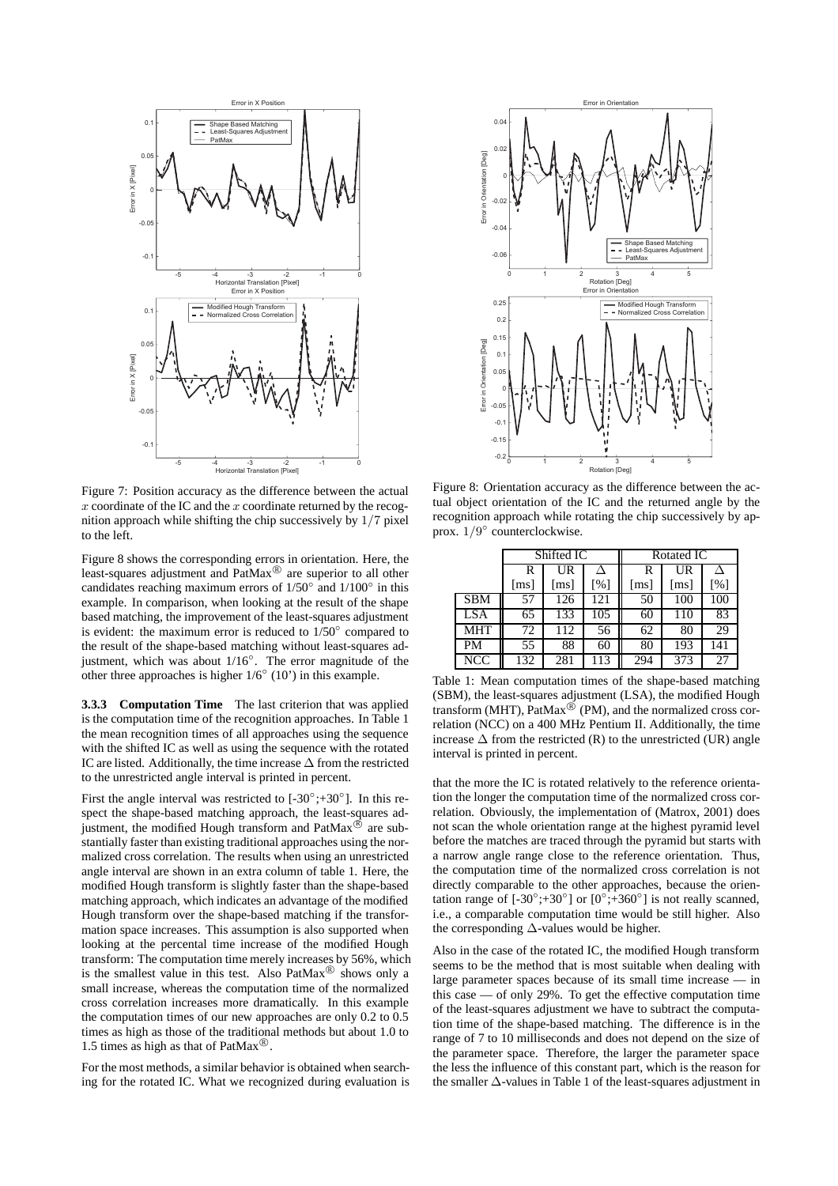

Figure 7: Position accuracy as the difference between the actual  $x$  coordinate of the IC and the  $x$  coordinate returned by the recognition approach while shifting the chip successively by 1/7 pixel to the left.

Figure 8 shows the corresponding errors in orientation. Here, the least-squares adjustment and  $\text{PatMax}^{\circledR}$  are superior to all other candidates reaching maximum errors of  $1/50°$  and  $1/100°$  in this example. In comparison, when looking at the result of the shape based matching, the improvement of the least-squares adjustment is evident: the maximum error is reduced to 1/50◦ compared to the result of the shape-based matching without least-squares adjustment, which was about 1/16◦. The error magnitude of the other three approaches is higher  $1/6°(10')$  in this example.

**3.3.3 Computation Time** The last criterion that was applied is the computation time of the recognition approaches. In Table 1 the mean recognition times of all approaches using the sequence with the shifted IC as well as using the sequence with the rotated IC are listed. Additionally, the time increase ∆ from the restricted to the unrestricted angle interval is printed in percent.

First the angle interval was restricted to  $[-30^{\circ}, +30^{\circ}]$ . In this respect the shape-based matching approach, the least-squares adjustment, the modified Hough transform and  $\text{PatMax}^{\circledR}$  are substantially faster than existing traditional approaches using the normalized cross correlation. The results when using an unrestricted angle interval are shown in an extra column of table 1. Here, the modified Hough transform is slightly faster than the shape-based matching approach, which indicates an advantage of the modified Hough transform over the shape-based matching if the transformation space increases. This assumption is also supported when looking at the percental time increase of the modified Hough transform: The computation time merely increases by 56%, which is the smallest value in this test. Also  $\text{PatMax}^{\circledR}$  shows only a small increase, whereas the computation time of the normalized cross correlation increases more dramatically. In this example the computation times of our new approaches are only 0.2 to 0.5 times as high as those of the traditional methods but about 1.0 to 1.5 times as high as that of PatMax<sup>®</sup>.

For the most methods, a similar behavior is obtained when searching for the rotated IC. What we recognized during evaluation is



Figure 8: Orientation accuracy as the difference between the actual object orientation of the IC and the returned angle by the recognition approach while rotating the chip successively by approx. 1/9◦ counterclockwise.

|            | Shifted IC         |                    |     | Rotated IC         |                    |     |
|------------|--------------------|--------------------|-----|--------------------|--------------------|-----|
|            | R                  | UR                 |     | R                  | UR                 |     |
|            | $\lceil ms \rceil$ | $\lceil ms \rceil$ | [%] | $\lceil ms \rceil$ | $\lceil ms \rceil$ | [%] |
| <b>SBM</b> | 57                 | 126                | 121 | 50                 | 100                | 100 |
| <b>LSA</b> | 65                 | 133                | 105 | 60                 | 110                | 83  |
| <b>MHT</b> | 72                 | 112                | 56  | 62                 | 80                 | 29  |
| PM         | 55                 | 88                 | 60  | 80                 | 193                | 141 |
| <b>NCC</b> | 132                | 281                | 113 | 294                | 373                | 27  |

Table 1: Mean computation times of the shape-based matching (SBM), the least-squares adjustment (LSA), the modified Hough transform (MHT),  $PatMax^{\circledR}$  (PM), and the normalized cross correlation (NCC) on a 400 MHz Pentium II. Additionally, the time increase  $\Delta$  from the restricted (R) to the unrestricted (UR) angle interval is printed in percent.

that the more the IC is rotated relatively to the reference orientation the longer the computation time of the normalized cross correlation. Obviously, the implementation of (Matrox, 2001) does not scan the whole orientation range at the highest pyramid level before the matches are traced through the pyramid but starts with a narrow angle range close to the reference orientation. Thus, the computation time of the normalized cross correlation is not directly comparable to the other approaches, because the orientation range of  $[-30^\circ; +30^\circ]$  or  $[0^\circ; +360^\circ]$  is not really scanned, i.e., a comparable computation time would be still higher. Also the corresponding  $\Delta$ -values would be higher.

Also in the case of the rotated IC, the modified Hough transform seems to be the method that is most suitable when dealing with large parameter spaces because of its small time increase — in this case — of only 29%. To get the effective computation time of the least-squares adjustment we have to subtract the computation time of the shape-based matching. The difference is in the range of 7 to 10 milliseconds and does not depend on the size of the parameter space. Therefore, the larger the parameter space the less the influence of this constant part, which is the reason for the smaller ∆-values in Table 1 of the least-squares adjustment in